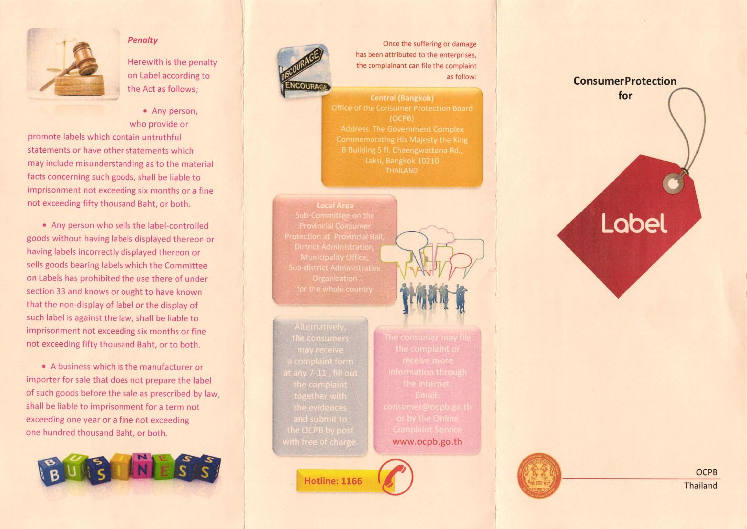

### Penalty

Herewith is the penalty on Label according to the Act as follows;

• Any person,

who provide or promote labels which contain untruthful statements or have other statements which may include misunderstanding as to the material facts concerning such goods, shall be liable to imprisonment not exceeding six months or a fine not exceeding fifty thousand Baht, or both.

. Any person who sells the label-controlled goods without having labels displayed thereon or having labels incorrectly displayed thereon or sells goods bearing labels which the Committee on Labels has prohibited the use there of under section 33 and knows or ought to have known that the non-display of label or the display of such label is against the law, shall be liable to imprisonment not exceeding six months or fine not exceeding fifty thousand Baht, or to both.

• A business which is the manufacturer or importer for sale that does not prepare the label of such goods before the sale as prescribed by law, shall be liable to imprisonment for a term not exceeding one year or a fine not exceeding one hundred thousand Baht, or both.





Once the suffering or damage has been attributed to the enterprises, the complainant can file the complaint as follow:

**Central (Bangkok)**  $(OCPB)$ Commemorating His Majesty the King Laksi, Bangkok 10210

**Local Area** 

www.ocpb.go.th

**Hotline: 1166** 



# for Lobel

**ConsumerProtection**